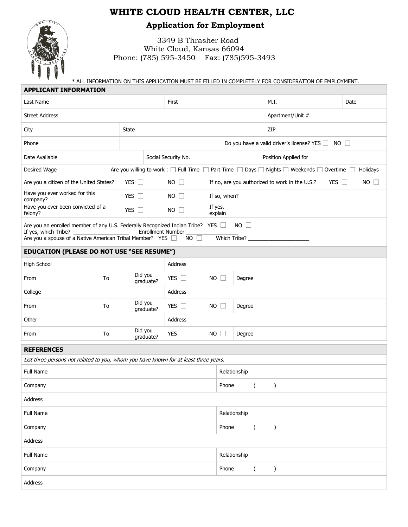## **WHITE CLOUD HEALTH CENTER, LLC**



**Application for Employment**

3349 B Thrasher Road White Cloud, Kansas 66094 Phone: (785) 595-3450 Fax: (785)595-3493

\* ALL INFORMATION ON THIS APPLICATION MUST BE FILLED IN COMPLETELY FOR CONSIDERATION OF EMPLOYMENT. 

| <b>APPLICANT INFORMATION</b>                                                                                             |                      |                                                                             |                                                                 |                                                              |             |  |  |
|--------------------------------------------------------------------------------------------------------------------------|----------------------|-----------------------------------------------------------------------------|-----------------------------------------------------------------|--------------------------------------------------------------|-------------|--|--|
| Last Name                                                                                                                |                      | First                                                                       |                                                                 | M.I.                                                         | Date        |  |  |
| <b>Street Address</b>                                                                                                    |                      | Apartment/Unit #                                                            |                                                                 |                                                              |             |  |  |
| State<br>City                                                                                                            |                      |                                                                             | ZIP                                                             |                                                              |             |  |  |
| Phone                                                                                                                    |                      |                                                                             | Do you have a valid driver's license? YES $\Box$<br>$NO$ $\Box$ |                                                              |             |  |  |
| Date Available<br>Social Security No.                                                                                    |                      |                                                                             | Position Applied for                                            |                                                              |             |  |  |
| Desired Wage                                                                                                             |                      | Are you willing to work : $\square$ Full Time $\square$ Part Time $\square$ |                                                                 | Days □ Nights □ Weekends □ Overtime                          | Holidays    |  |  |
| Are you a citizen of the United States?                                                                                  | YES $\Box$           | $NO$ $\Box$                                                                 |                                                                 | If no, are you authorized to work in the U.S.?<br>YES $\Box$ | $NO$ $\Box$ |  |  |
| Have you ever worked for this<br>company?                                                                                | YES $\square$        | $NO$ $\Box$                                                                 | If so, when?                                                    |                                                              |             |  |  |
| Have you ever been convicted of a<br>felony?                                                                             | YES $\square$        | $NO$ $\Box$                                                                 | If yes,<br>explain                                              |                                                              |             |  |  |
| Are you an enrolled member of any U.S. Federally Recognized Indian Tribe? YES<br>$NO$ $\Box$<br><b>Enrollment Number</b> |                      |                                                                             |                                                                 |                                                              |             |  |  |
| If yes, which Tribe?<br>Are you a spouse of a Native American Tribal Member? YES                                         |                      | $NO$ $\Box$                                                                 | Which Tribe?                                                    |                                                              |             |  |  |
| EDUCATION (PLEASE DO NOT USE "SEE RESUME")                                                                               |                      |                                                                             |                                                                 |                                                              |             |  |  |
| High School                                                                                                              |                      | Address                                                                     |                                                                 |                                                              |             |  |  |
| To<br>From                                                                                                               | Did you<br>graduate? | YES $\square$<br>NO                                                         | $\Box$<br>Degree                                                |                                                              |             |  |  |
| College                                                                                                                  |                      | Address                                                                     |                                                                 |                                                              |             |  |  |
| To<br>From                                                                                                               | Did you<br>graduate? | YES $\square$<br><b>NO</b>                                                  | $\Box$<br>Degree                                                |                                                              |             |  |  |
| Other                                                                                                                    |                      | Address                                                                     |                                                                 |                                                              |             |  |  |
| To<br>From                                                                                                               | Did you<br>graduate? | YES $\Box$<br>NO                                                            | $\Box$<br>Degree                                                |                                                              |             |  |  |
| <b>REFERENCES</b>                                                                                                        |                      |                                                                             |                                                                 |                                                              |             |  |  |
| List three persons not related to you, whom you have known for at least three years.                                     |                      |                                                                             |                                                                 |                                                              |             |  |  |
| Full Name                                                                                                                |                      |                                                                             | Relationship                                                    |                                                              |             |  |  |
| Company                                                                                                                  |                      |                                                                             | Phone                                                           |                                                              |             |  |  |
| Address                                                                                                                  |                      |                                                                             |                                                                 |                                                              |             |  |  |
| Full Name                                                                                                                |                      |                                                                             | Relationship                                                    |                                                              |             |  |  |
| Company                                                                                                                  |                      |                                                                             | Phone<br>$\overline{(\ }$                                       | $\mathcal{C}$                                                |             |  |  |
| Address                                                                                                                  |                      |                                                                             |                                                                 |                                                              |             |  |  |
| Full Name                                                                                                                | Relationship         |                                                                             |                                                                 |                                                              |             |  |  |
| Company                                                                                                                  |                      |                                                                             | Phone<br>$\overline{(}$                                         | $\mathcal{C}$                                                |             |  |  |
| Address                                                                                                                  |                      |                                                                             |                                                                 |                                                              |             |  |  |